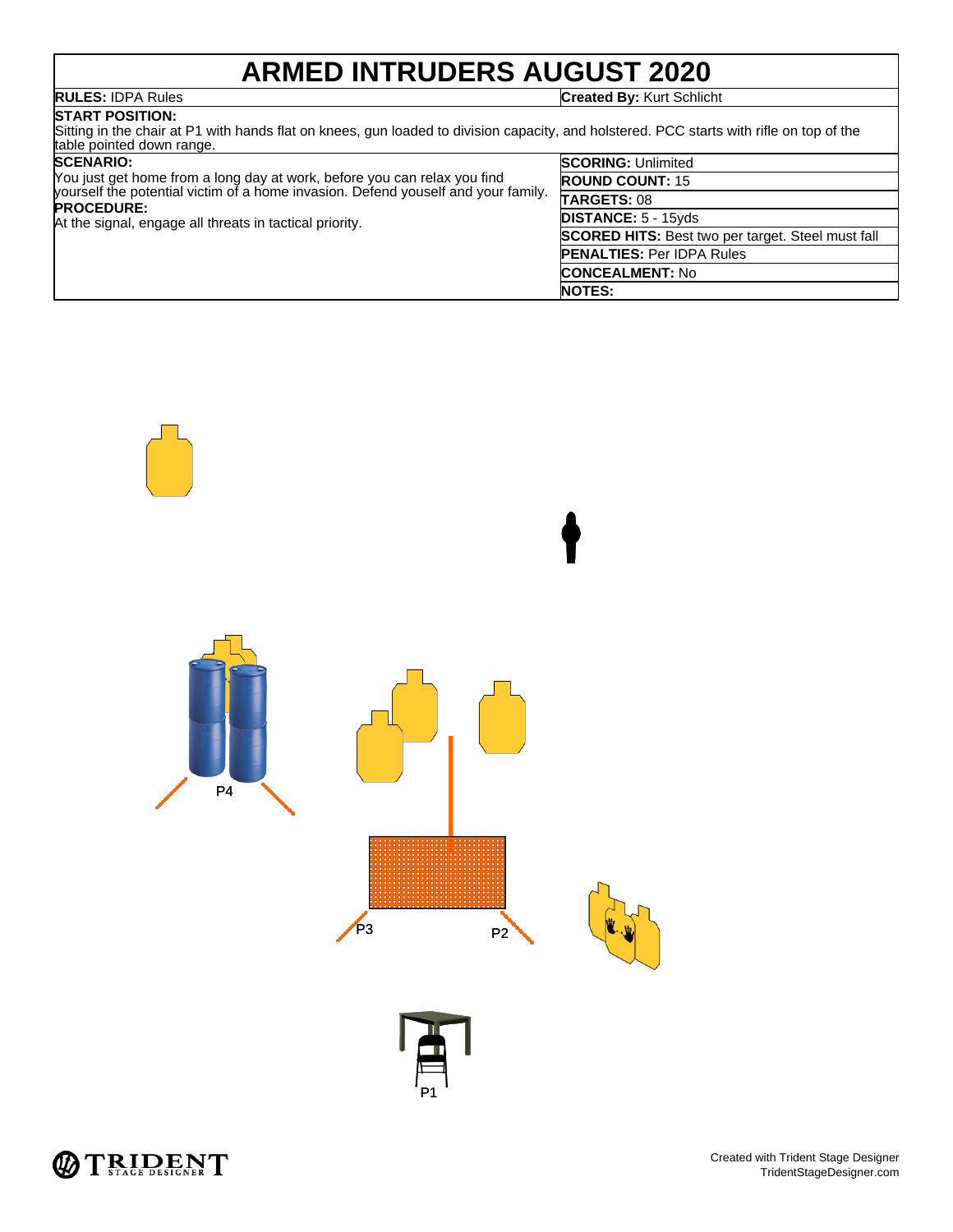## **ARMED INTRUDERS AUGUST 2020**

**RULES:** IDPA Rules **Created By:** Kurt Schlicht

### **START POSITION:**

Sitting in the chair at P1 with hands flat on knees, gun loaded to division capacity, and holstered. PCC starts with rifle on top of the table pointed down range.

| <b>SCENARIO:</b><br>You just get home from a long day at work, before you can relax you find<br>yourself the potential victim of a home invasion. Defend youself and your family.<br><b>PROCEDURE:</b><br>At the signal, engage all threats in tactical priority. | <b>SCORING: Unlimited</b>                                |
|-------------------------------------------------------------------------------------------------------------------------------------------------------------------------------------------------------------------------------------------------------------------|----------------------------------------------------------|
|                                                                                                                                                                                                                                                                   | <b>ROUND COUNT: 15</b>                                   |
|                                                                                                                                                                                                                                                                   | <b>TARGETS: 08</b>                                       |
|                                                                                                                                                                                                                                                                   | <b>DISTANCE: 5 - 15yds</b>                               |
|                                                                                                                                                                                                                                                                   | <b>SCORED HITS:</b> Best two per target. Steel must fall |
|                                                                                                                                                                                                                                                                   | <b>PENALTIES: Per IDPA Rules</b>                         |
|                                                                                                                                                                                                                                                                   | <b>CONCEALMENT: No</b>                                   |
|                                                                                                                                                                                                                                                                   | <b>NOTES:</b>                                            |



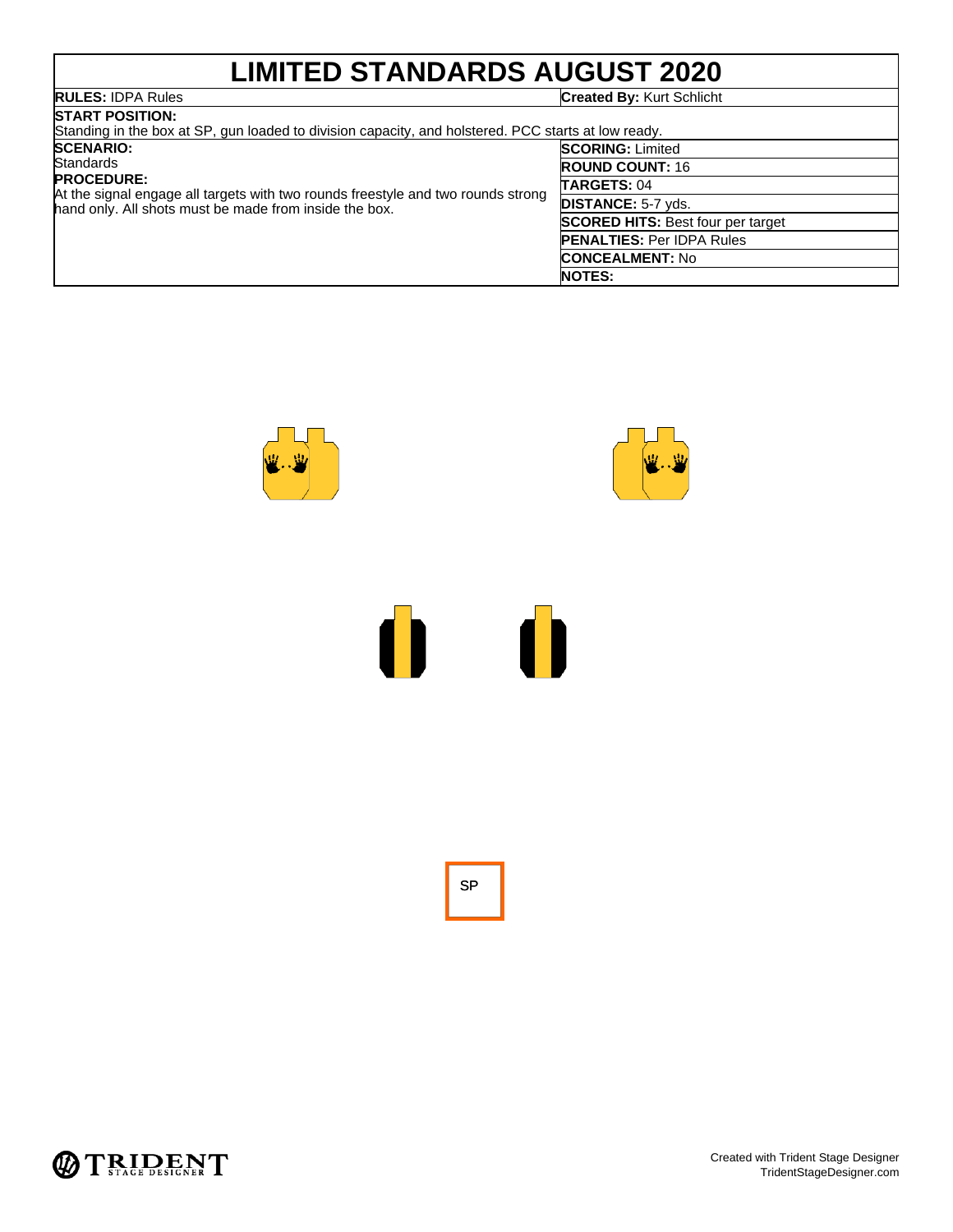# **LIMITED STANDARDS AUGUST 2020**

### **RULES:** IDPA Rules **Created By:** Kurt Schlicht

| <b>ISTART POSITION:</b><br>Standing in the box at SP, gun loaded to division capacity, and holstered. PCC starts at low ready.                                               |                                          |  |  |
|------------------------------------------------------------------------------------------------------------------------------------------------------------------------------|------------------------------------------|--|--|
| <b>SCENARIO:</b>                                                                                                                                                             | <b>SCORING: Limited</b>                  |  |  |
| Standards<br><b>PROCEDURE:</b><br>At the signal engage all targets with two rounds freestyle and two rounds strong<br>hand only. All shots must be made from inside the box. | <b>ROUND COUNT: 16</b>                   |  |  |
|                                                                                                                                                                              | TARGETS: 04                              |  |  |
|                                                                                                                                                                              | <b>DISTANCE: 5-7 yds.</b>                |  |  |
|                                                                                                                                                                              | <b>SCORED HITS: Best four per target</b> |  |  |
|                                                                                                                                                                              | <b>PENALTIES: Per IDPA Rules</b>         |  |  |
|                                                                                                                                                                              | <b>CONCEALMENT: No</b>                   |  |  |
|                                                                                                                                                                              | <b>NOTES:</b>                            |  |  |





SP

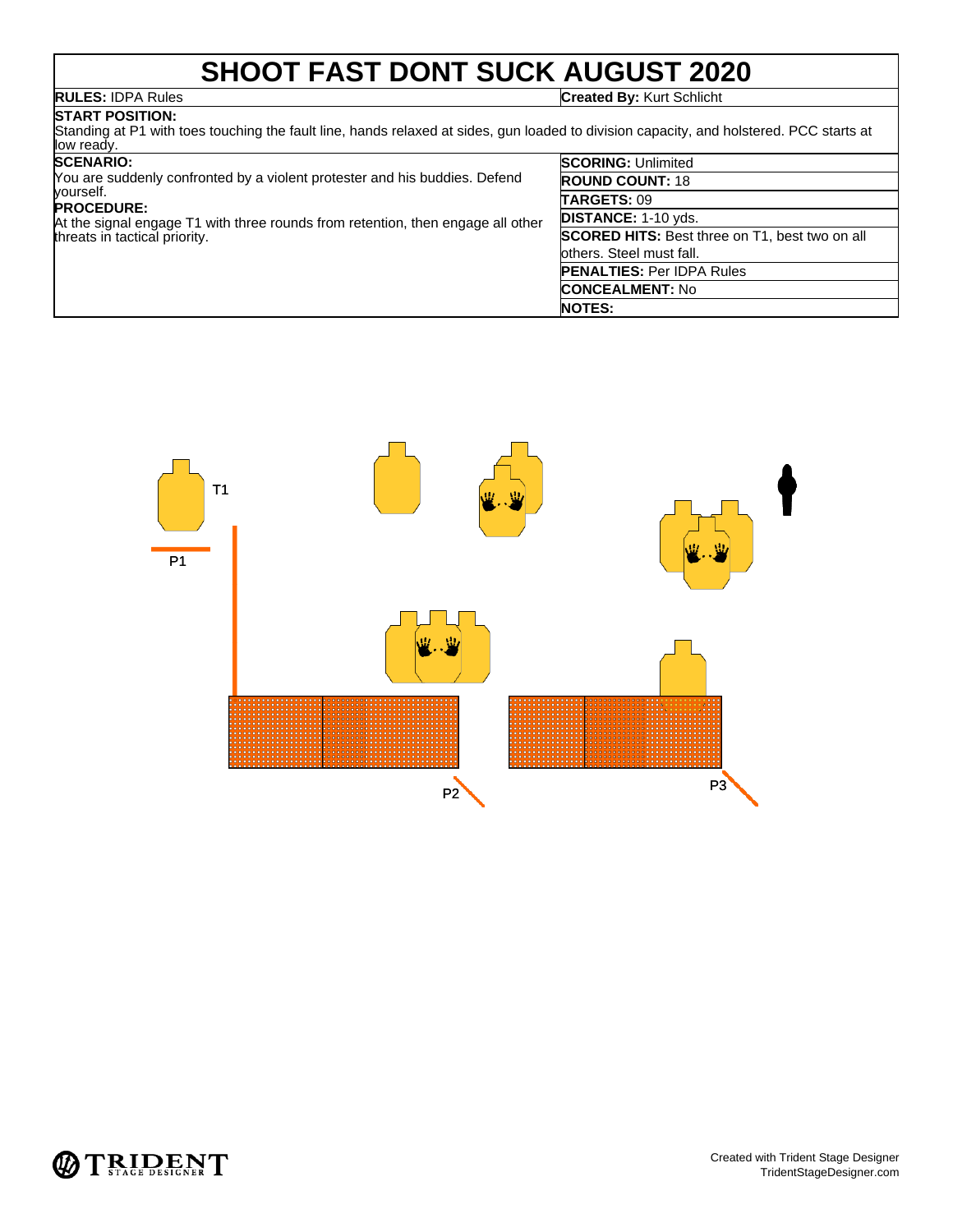## **SHOOT FAST DONT SUCK AUGUST 2020**

**RULES:** IDPA Rules **Created By:** Kurt Schlicht

### **START POSITION:**

Standing at P1 with toes touching the fault line, hands relaxed at sides, gun loaded to division capacity, and holstered. PCC starts at low ready.

### **SCENARIO:**

| You are suddenly confronted by a violent protester and his buddies. Defend<br>yourself.                                               |  |
|---------------------------------------------------------------------------------------------------------------------------------------|--|
| <b>PROCEDURE:</b><br>At the signal engage T1 with three rounds from retention, then engage all other<br>threats in tactical priority. |  |

| <b>SCORING: Unlimited</b>                             |
|-------------------------------------------------------|
| <b>ROUND COUNT: 18</b>                                |
| TARGETS: 09                                           |
| DISTANCE: 1-10 yds.                                   |
| <b>SCORED HITS:</b> Best three on T1, best two on all |
| others. Steel must fall.                              |
| <b>PENALTIES: Per IDPA Rules</b>                      |
| <b>CONCEALMENT: No</b>                                |
| <b>NOTES:</b>                                         |



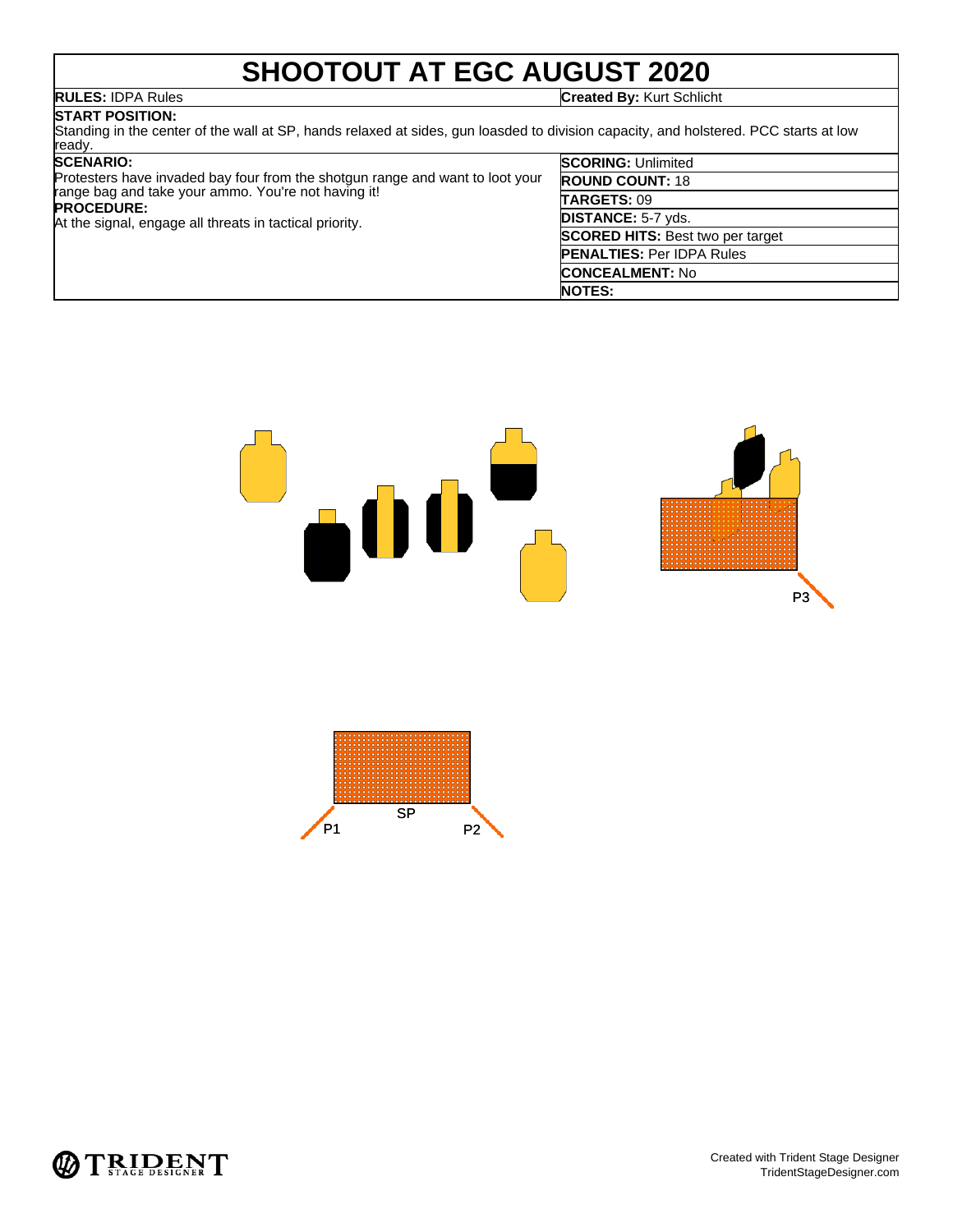## **SHOOTOUT AT EGC AUGUST 2020**

**RULES:** IDPA Rules **Created By:** Kurt Schlicht

### **START POSITION:**

Standing in the center of the wall at SP, hands relaxed at sides, gun loasded to division capacity, and holstered. PCC starts at low ready.

### **SCENARIO:**

| <b>SCENARIO:</b><br>Protesters have invaded bay four from the shotgun range and want to loot your<br>range bag and take your ammo. You're not having it!<br><b>PROCEDURE:</b><br>At the signal, engage all threats in tactical priority. | <b>SCORING: Unlimited</b>               |
|------------------------------------------------------------------------------------------------------------------------------------------------------------------------------------------------------------------------------------------|-----------------------------------------|
|                                                                                                                                                                                                                                          | <b>ROUND COUNT: 18</b>                  |
|                                                                                                                                                                                                                                          | <b>TARGETS: 09</b>                      |
|                                                                                                                                                                                                                                          | <b>DISTANCE: 5-7 yds.</b>               |
|                                                                                                                                                                                                                                          | <b>SCORED HITS: Best two per target</b> |
|                                                                                                                                                                                                                                          | <b>PENALTIES: Per IDPA Rules</b>        |
|                                                                                                                                                                                                                                          | <b>CONCEALMENT: No</b>                  |
|                                                                                                                                                                                                                                          | <b>NOTES:</b>                           |





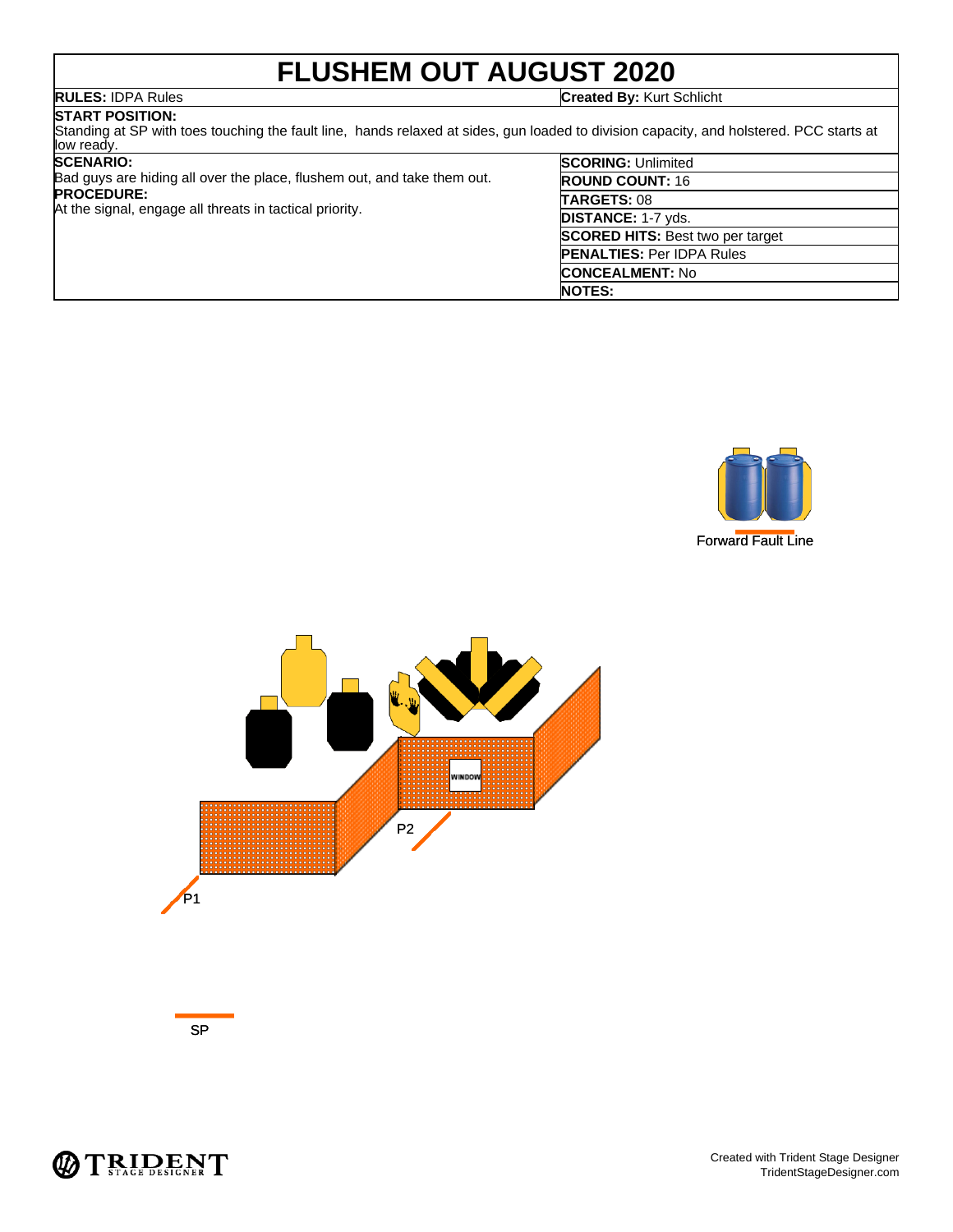# **FLUSHEM OUT AUGUST 2020**

**RULES:** IDPA Rules **Created By:** Kurt Schlicht

**START POSITION:** Standing at SP with toes touching the fault line, hands relaxed at sides, gun loaded to division capacity, and holstered. PCC starts at low ready.

### **SCENARIO:**

Bad guys are hiding all over the place, flushem out, and take them out. **PROCEDURE:**

At the signal, engage all threats in tactical priority.

| <b>SCORING: Unlimited</b>               |
|-----------------------------------------|
| <b>ROUND COUNT: 16</b>                  |
| TARGETS: 08                             |
| DISTANCE: 1-7 yds.                      |
| <b>SCORED HITS: Best two per target</b> |
| <b>PENALTIES: Per IDPA Rules</b>        |
| <b>CONCEALMENT: No</b>                  |
| <b>NOTES:</b>                           |





SP

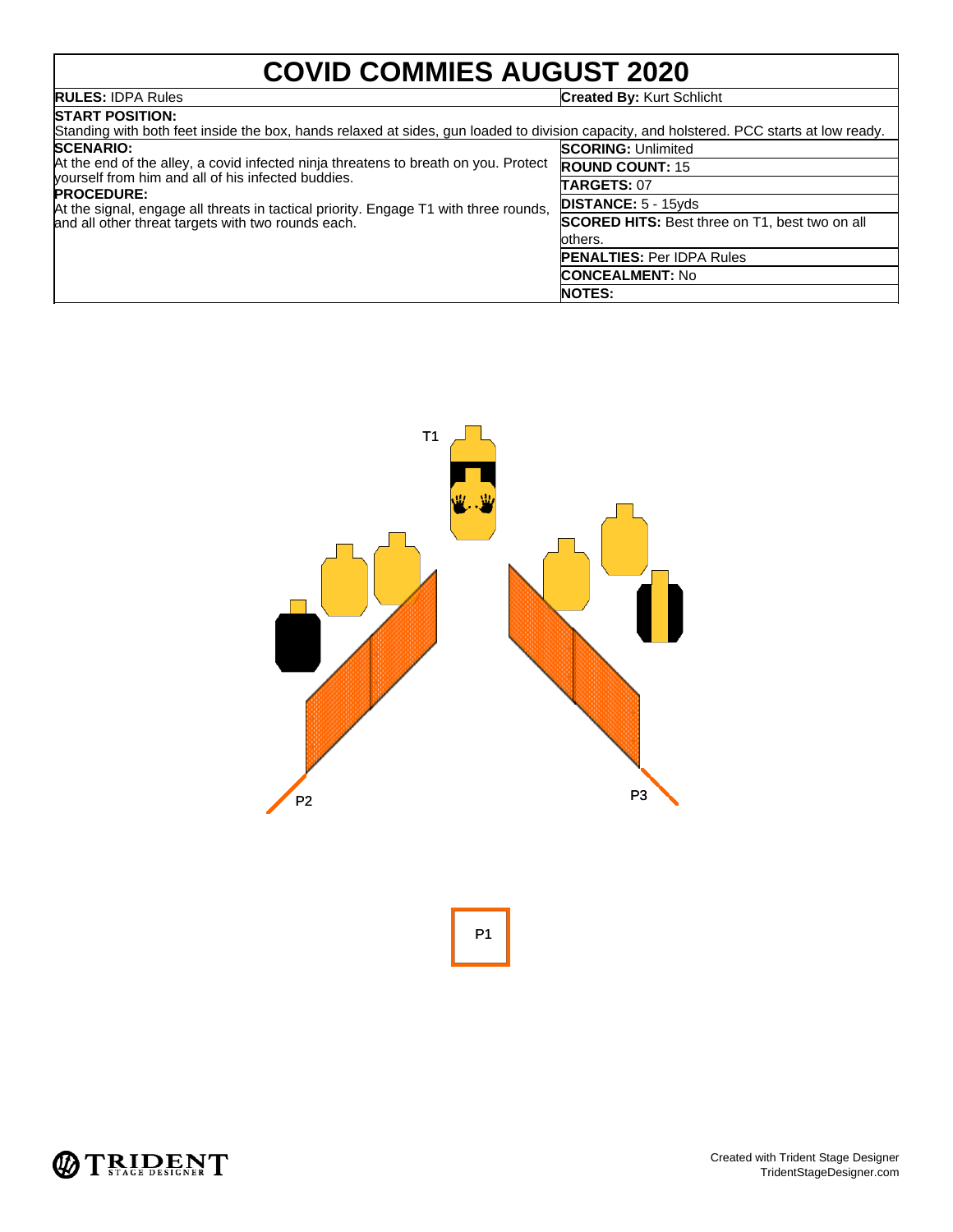# **COVID COMMIES AUGUST 2020**

## **RULES:** IDPA Rules **Created By:** Kurt Schlicht

| <b>START POSITION:</b>                                                                                                                                                                                                                                                                                       |                                                       |  |  |  |
|--------------------------------------------------------------------------------------------------------------------------------------------------------------------------------------------------------------------------------------------------------------------------------------------------------------|-------------------------------------------------------|--|--|--|
| Standing with both feet inside the box, hands relaxed at sides, gun loaded to division capacity, and holstered. PCC starts at low ready.                                                                                                                                                                     |                                                       |  |  |  |
| <b>SCENARIO:</b>                                                                                                                                                                                                                                                                                             | <b>SCORING: Unlimited</b>                             |  |  |  |
| At the end of the alley, a covid infected ninja threatens to breath on you. Protect<br>yourself from him and all of his infected buddies.<br><b>PROCEDURE:</b><br>At the signal, engage all threats in tactical priority. Engage T1 with three rounds,<br>and all other threat targets with two rounds each. | <b>ROUND COUNT: 15</b>                                |  |  |  |
|                                                                                                                                                                                                                                                                                                              | <b>TARGETS: 07</b>                                    |  |  |  |
|                                                                                                                                                                                                                                                                                                              | <b>DISTANCE: 5 - 15yds</b>                            |  |  |  |
|                                                                                                                                                                                                                                                                                                              | <b>SCORED HITS:</b> Best three on T1, best two on all |  |  |  |
|                                                                                                                                                                                                                                                                                                              | others.                                               |  |  |  |
|                                                                                                                                                                                                                                                                                                              | <b>PENALTIES: Per IDPA Rules</b>                      |  |  |  |
|                                                                                                                                                                                                                                                                                                              | <b>CONCEALMENT: No</b>                                |  |  |  |
|                                                                                                                                                                                                                                                                                                              | <b>NOTES:</b>                                         |  |  |  |



P1